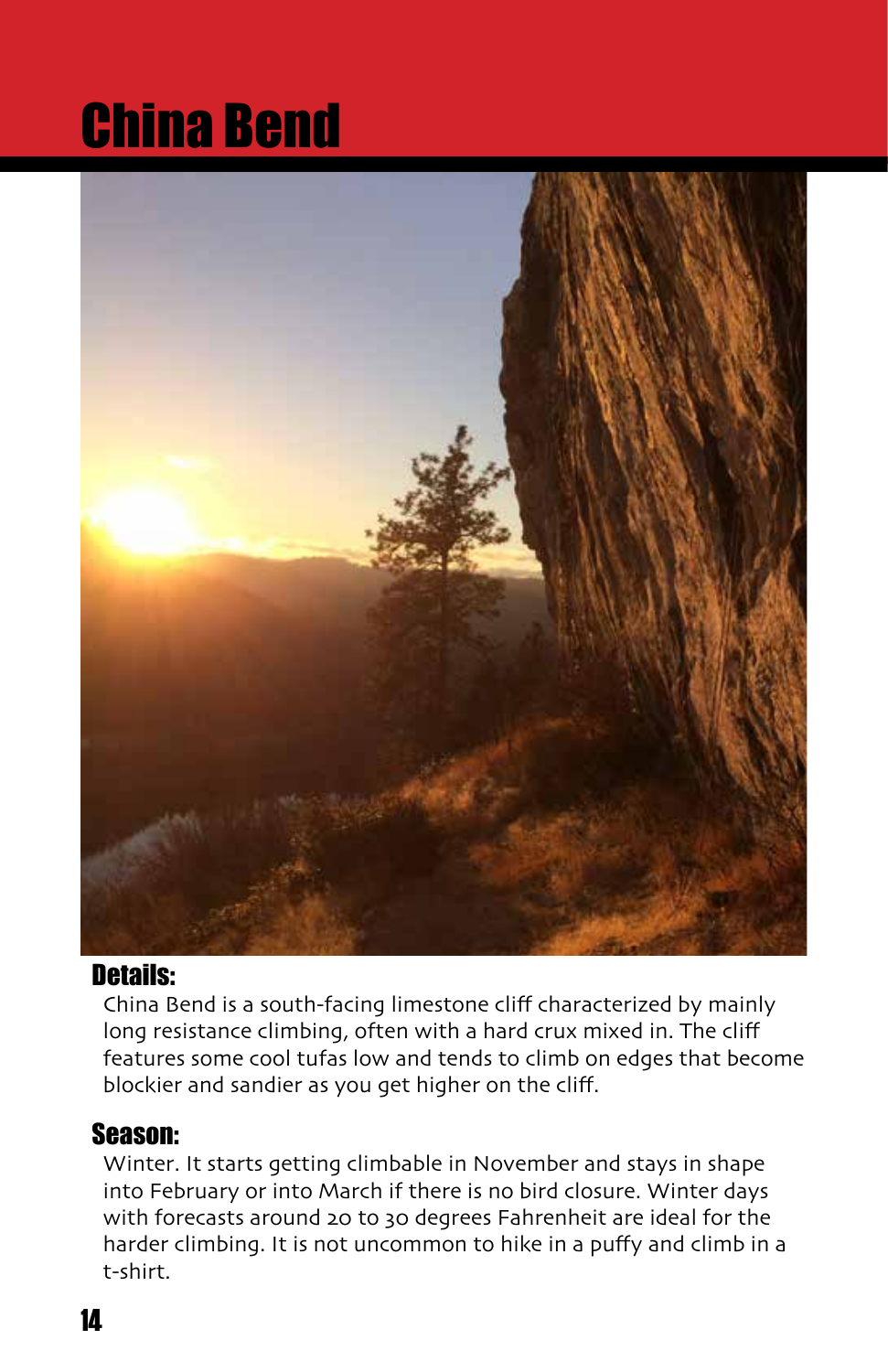# China Bend



## Details:

China Bend is a south-facing limestone cliff characterized by mainly long resistance climbing, often with a hard crux mixed in. The cliff features some cool tufas low and tends to climb on edges that become blockier and sandier as you get higher on the cliff.

## Season:

Winter. It starts getting climbable in November and stays in shape into February or into March if there is no bird closure. Winter days with forecasts around 20 to 30 degrees Fahrenheit are ideal for the harder climbing. It is not uncommon to hike in a puffy and climb in a t-shirt.